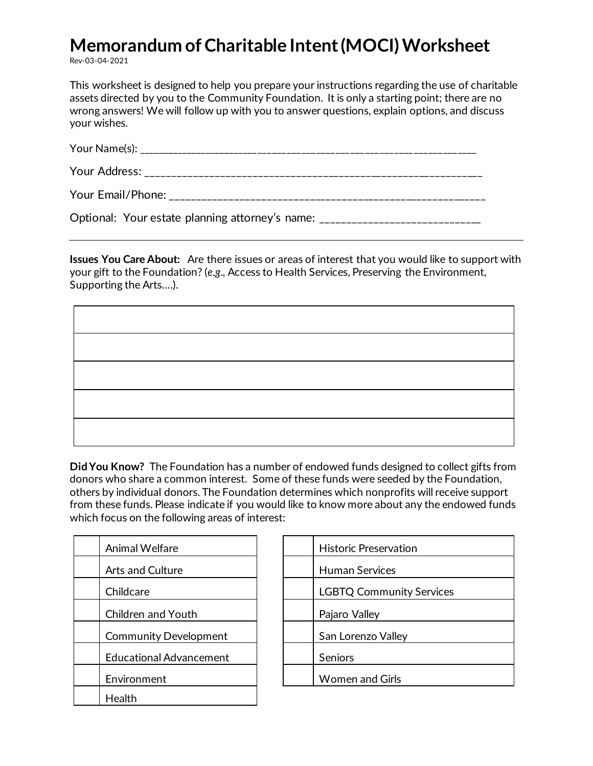## **Memorandum of Charitable Intent (MOCI) Worksheet**

Rev-03-04-2021

This worksheet is designed to help you prepare your instructions regarding the use of charitable assets directed by you to the Community Foundation. It is only a starting point; there are no wrong answers! We will follow up with you to answer questions, explain options, and discuss your wishes.

| $\bigcap_{i=1}^{n}$ and $\bigcup_{i=1}^{n}$ and $\bigcup_{i=1}^{n}$ and $\bigcap_{i=1}^{n}$ and $\bigcap_{i=1}^{n}$ and $\bigcap_{i=1}^{n}$ and $\bigcap_{i=1}^{n}$ and $\bigcap_{i=1}^{n}$ and $\bigcap_{i=1}^{n}$ and $\bigcap_{i=1}^{n}$ and $\bigcap_{i=1}^{n}$ and $\bigcap_{i=1}^{n}$ and $\bigcap_{$ |
|-------------------------------------------------------------------------------------------------------------------------------------------------------------------------------------------------------------------------------------------------------------------------------------------------------------|

Optional: Your estate planning attorney's name: \_\_\_\_\_\_\_\_\_\_\_\_\_\_\_\_\_\_\_\_\_\_\_\_\_\_\_\_\_\_\_\_

**Issues You Care About:** Are there issues or areas of interest that you would like to support with your gift to the Foundation? (*e.g.,* Access to Health Services, Preserving the Environment, Supporting the Arts….).

**Did You Know?** The Foundation has a number of endowed funds designed to collect gifts from donors who share a common interest. Some of these funds were seeded by the Foundation, others by individual donors. The Foundation determines which nonprofits will receive support from these funds. Please indicate if you would like to know more about any the endowed funds which focus on the following areas of interest:

| Animal Welfare                 | <b>Historic Preservation</b> |
|--------------------------------|------------------------------|
| <b>Arts and Culture</b>        | <b>Human Services</b>        |
| Childcare                      | LGBTQ Community:             |
| Children and Youth             | Pajaro Valley                |
| <b>Community Development</b>   | San Lorenzo Valley           |
| <b>Educational Advancement</b> | <b>Seniors</b>               |
| Environment                    | <b>Women and Girls</b>       |
| Health                         |                              |

| Animal Welfare                 | <b>Historic Preservation</b>    |
|--------------------------------|---------------------------------|
| Arts and Culture               | <b>Human Services</b>           |
| Childcare                      | <b>LGBTQ Community Services</b> |
| Children and Youth             | Pajaro Valley                   |
| <b>Community Development</b>   | San Lorenzo Valley              |
| <b>Educational Advancement</b> | Seniors                         |
| Environment                    | <b>Women and Girls</b>          |